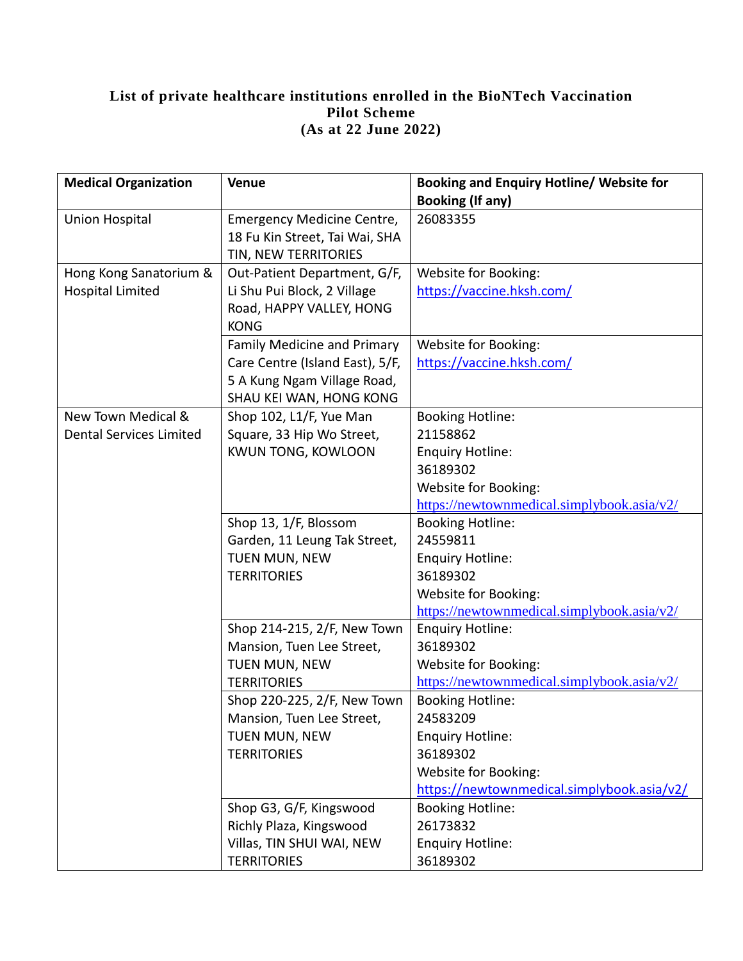## **List of private healthcare institutions enrolled in the BioNTech Vaccination Pilot Scheme (As at 22 June 2022)**

| <b>Medical Organization</b>    | <b>Venue</b>                      | <b>Booking and Enquiry Hotline/ Website for</b> |
|--------------------------------|-----------------------------------|-------------------------------------------------|
|                                |                                   | <b>Booking (If any)</b>                         |
| <b>Union Hospital</b>          | <b>Emergency Medicine Centre,</b> | 26083355                                        |
|                                | 18 Fu Kin Street, Tai Wai, SHA    |                                                 |
|                                | TIN, NEW TERRITORIES              |                                                 |
| Hong Kong Sanatorium &         | Out-Patient Department, G/F,      | Website for Booking:                            |
| <b>Hospital Limited</b>        | Li Shu Pui Block, 2 Village       | https://vaccine.hksh.com/                       |
|                                | Road, HAPPY VALLEY, HONG          |                                                 |
|                                | <b>KONG</b>                       |                                                 |
|                                | Family Medicine and Primary       | Website for Booking:                            |
|                                | Care Centre (Island East), 5/F,   | https://vaccine.hksh.com/                       |
|                                | 5 A Kung Ngam Village Road,       |                                                 |
|                                | SHAU KEI WAN, HONG KONG           |                                                 |
| New Town Medical &             | Shop 102, L1/F, Yue Man           | <b>Booking Hotline:</b>                         |
| <b>Dental Services Limited</b> | Square, 33 Hip Wo Street,         | 21158862                                        |
|                                | <b>KWUN TONG, KOWLOON</b>         | <b>Enquiry Hotline:</b>                         |
|                                |                                   | 36189302                                        |
|                                |                                   | Website for Booking:                            |
|                                |                                   | https://newtownmedical.simplybook.asia/v2/      |
|                                | Shop 13, 1/F, Blossom             | <b>Booking Hotline:</b>                         |
|                                | Garden, 11 Leung Tak Street,      | 24559811                                        |
|                                | TUEN MUN, NEW                     | <b>Enquiry Hotline:</b>                         |
|                                | <b>TERRITORIES</b>                | 36189302                                        |
|                                |                                   | Website for Booking:                            |
|                                |                                   | https://newtownmedical.simplybook.asia/v2/      |
|                                | Shop 214-215, 2/F, New Town       | <b>Enquiry Hotline:</b>                         |
|                                | Mansion, Tuen Lee Street,         | 36189302                                        |
|                                | TUEN MUN, NEW                     | Website for Booking:                            |
|                                | <b>TERRITORIES</b>                | https://newtownmedical.simplybook.asia/v2/      |
|                                | Shop 220-225, 2/F, New Town       | <b>Booking Hotline:</b>                         |
|                                | Mansion, Tuen Lee Street,         | 24583209                                        |
|                                | TUEN MUN, NEW                     | <b>Enquiry Hotline:</b>                         |
|                                | <b>TERRITORIES</b>                | 36189302                                        |
|                                |                                   | Website for Booking:                            |
|                                |                                   | https://newtownmedical.simplybook.asia/v2/      |
|                                | Shop G3, G/F, Kingswood           | <b>Booking Hotline:</b>                         |
|                                | Richly Plaza, Kingswood           | 26173832                                        |
|                                | Villas, TIN SHUI WAI, NEW         | <b>Enquiry Hotline:</b>                         |
|                                | <b>TERRITORIES</b>                | 36189302                                        |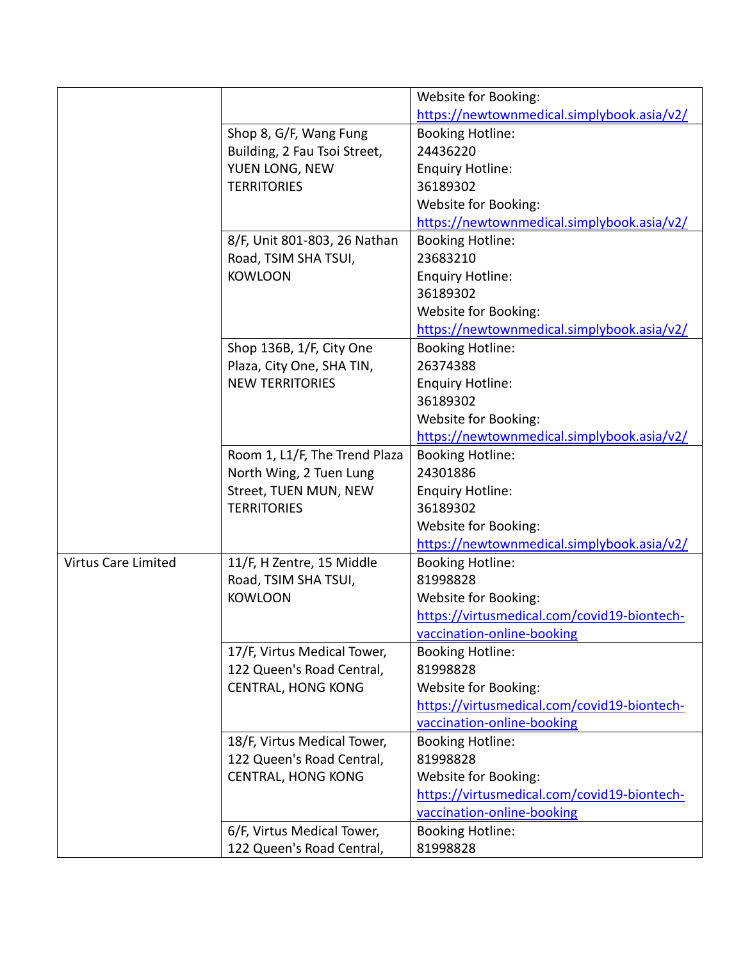|                            |                               | Website for Booking:                        |
|----------------------------|-------------------------------|---------------------------------------------|
|                            |                               | https://newtownmedical.simplybook.asia/v2/  |
|                            | Shop 8, G/F, Wang Fung        | <b>Booking Hotline:</b>                     |
|                            | Building, 2 Fau Tsoi Street,  | 24436220                                    |
|                            | YUEN LONG, NEW                | <b>Enquiry Hotline:</b>                     |
|                            | <b>TERRITORIES</b>            | 36189302                                    |
|                            |                               | Website for Booking:                        |
|                            |                               | https://newtownmedical.simplybook.asia/v2/  |
|                            | 8/F, Unit 801-803, 26 Nathan  | <b>Booking Hotline:</b>                     |
|                            | Road, TSIM SHA TSUI,          | 23683210                                    |
|                            | <b>KOWLOON</b>                | <b>Enquiry Hotline:</b>                     |
|                            |                               | 36189302                                    |
|                            |                               | Website for Booking:                        |
|                            |                               | https://newtownmedical.simplybook.asia/v2/  |
|                            | Shop 136B, 1/F, City One      | <b>Booking Hotline:</b>                     |
|                            | Plaza, City One, SHA TIN,     | 26374388                                    |
|                            | <b>NEW TERRITORIES</b>        | <b>Enquiry Hotline:</b>                     |
|                            |                               | 36189302                                    |
|                            |                               | Website for Booking:                        |
|                            |                               | https://newtownmedical.simplybook.asia/v2/  |
|                            | Room 1, L1/F, The Trend Plaza | <b>Booking Hotline:</b>                     |
|                            | North Wing, 2 Tuen Lung       | 24301886                                    |
|                            | Street, TUEN MUN, NEW         | <b>Enquiry Hotline:</b>                     |
|                            | <b>TERRITORIES</b>            | 36189302                                    |
|                            |                               | Website for Booking:                        |
|                            |                               | https://newtownmedical.simplybook.asia/v2/  |
| <b>Virtus Care Limited</b> | 11/F, H Zentre, 15 Middle     | <b>Booking Hotline:</b>                     |
|                            | Road, TSIM SHA TSUI,          | 81998828                                    |
|                            | <b>KOWLOON</b>                | Website for Booking:                        |
|                            |                               | https://virtusmedical.com/covid19-biontech- |
|                            |                               | vaccination-online-booking                  |
|                            | 17/F, Virtus Medical Tower,   | <b>Booking Hotline:</b>                     |
|                            | 122 Queen's Road Central,     | 81998828                                    |
|                            | <b>CENTRAL, HONG KONG</b>     | Website for Booking:                        |
|                            |                               | https://virtusmedical.com/covid19-biontech- |
|                            |                               | vaccination-online-booking                  |
|                            | 18/F, Virtus Medical Tower,   | <b>Booking Hotline:</b>                     |
|                            | 122 Queen's Road Central,     | 81998828                                    |
|                            | <b>CENTRAL, HONG KONG</b>     | Website for Booking:                        |
|                            |                               | https://virtusmedical.com/covid19-biontech- |
|                            |                               | vaccination-online-booking                  |
|                            | 6/F, Virtus Medical Tower,    | <b>Booking Hotline:</b>                     |
|                            | 122 Queen's Road Central,     | 81998828                                    |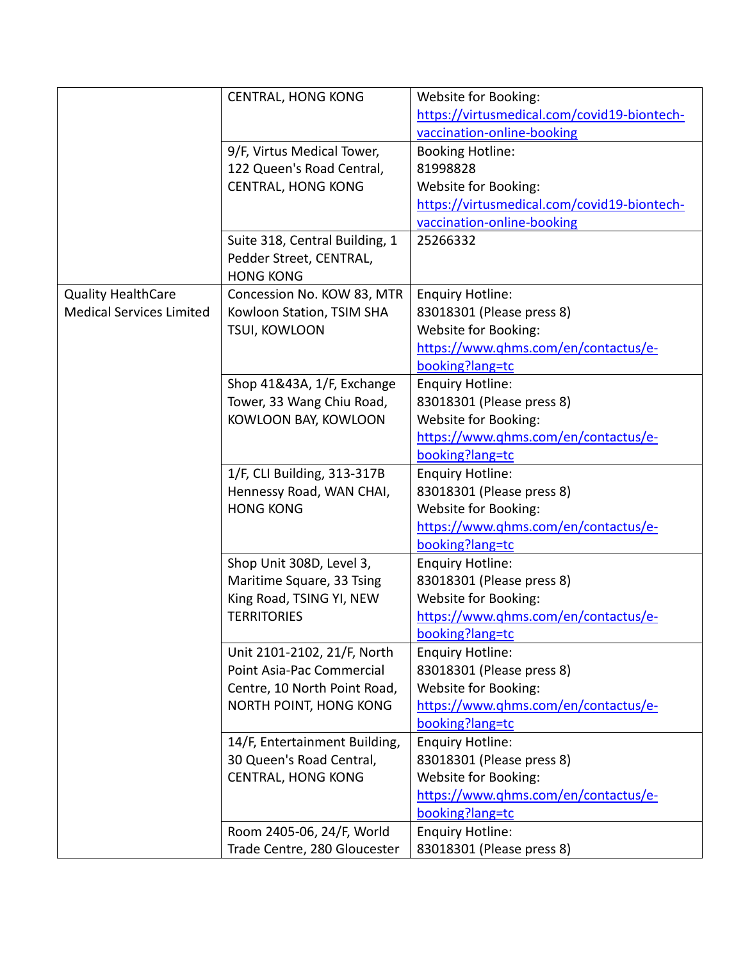|                                 | <b>CENTRAL, HONG KONG</b>                   | Website for Booking:                        |
|---------------------------------|---------------------------------------------|---------------------------------------------|
|                                 |                                             | https://virtusmedical.com/covid19-biontech- |
|                                 |                                             | vaccination-online-booking                  |
|                                 | 9/F, Virtus Medical Tower,                  | <b>Booking Hotline:</b>                     |
|                                 | 122 Queen's Road Central,                   | 81998828                                    |
|                                 |                                             |                                             |
|                                 | <b>CENTRAL, HONG KONG</b>                   | Website for Booking:                        |
|                                 |                                             | https://virtusmedical.com/covid19-biontech- |
|                                 |                                             | vaccination-online-booking                  |
|                                 | Suite 318, Central Building, 1              | 25266332                                    |
|                                 | Pedder Street, CENTRAL,<br><b>HONG KONG</b> |                                             |
| <b>Quality HealthCare</b>       | Concession No. KOW 83, MTR                  | <b>Enquiry Hotline:</b>                     |
| <b>Medical Services Limited</b> | Kowloon Station, TSIM SHA                   | 83018301 (Please press 8)                   |
|                                 | TSUI, KOWLOON                               | Website for Booking:                        |
|                                 |                                             | https://www.qhms.com/en/contactus/e-        |
|                                 |                                             | booking?lang=tc                             |
|                                 | Shop 41&43A, 1/F, Exchange                  | <b>Enquiry Hotline:</b>                     |
|                                 | Tower, 33 Wang Chiu Road,                   | 83018301 (Please press 8)                   |
|                                 | KOWLOON BAY, KOWLOON                        | Website for Booking:                        |
|                                 |                                             | https://www.qhms.com/en/contactus/e-        |
|                                 |                                             | booking?lang=tc                             |
|                                 |                                             |                                             |
|                                 | 1/F, CLI Building, 313-317B                 | <b>Enquiry Hotline:</b>                     |
|                                 | Hennessy Road, WAN CHAI,                    | 83018301 (Please press 8)                   |
|                                 | <b>HONG KONG</b>                            | Website for Booking:                        |
|                                 |                                             | https://www.qhms.com/en/contactus/e-        |
|                                 |                                             | booking?lang=tc                             |
|                                 | Shop Unit 308D, Level 3,                    | <b>Enquiry Hotline:</b>                     |
|                                 | Maritime Square, 33 Tsing                   | 83018301 (Please press 8)                   |
|                                 | King Road, TSING YI, NEW                    | Website for Booking:                        |
|                                 | <b>TERRITORIES</b>                          | https://www.qhms.com/en/contactus/e-        |
|                                 |                                             | booking?lang=tc                             |
|                                 | Unit 2101-2102, 21/F, North                 | <b>Enquiry Hotline:</b>                     |
|                                 | Point Asia-Pac Commercial                   | 83018301 (Please press 8)                   |
|                                 | Centre, 10 North Point Road,                | Website for Booking:                        |
|                                 | NORTH POINT, HONG KONG                      | https://www.qhms.com/en/contactus/e-        |
|                                 |                                             | booking?lang=tc                             |
|                                 | 14/F, Entertainment Building,               | <b>Enquiry Hotline:</b>                     |
|                                 | 30 Queen's Road Central,                    | 83018301 (Please press 8)                   |
|                                 | <b>CENTRAL, HONG KONG</b>                   | Website for Booking:                        |
|                                 |                                             | https://www.qhms.com/en/contactus/e-        |
|                                 |                                             | booking?lang=tc                             |
|                                 | Room 2405-06, 24/F, World                   | <b>Enquiry Hotline:</b>                     |
|                                 | Trade Centre, 280 Gloucester                | 83018301 (Please press 8)                   |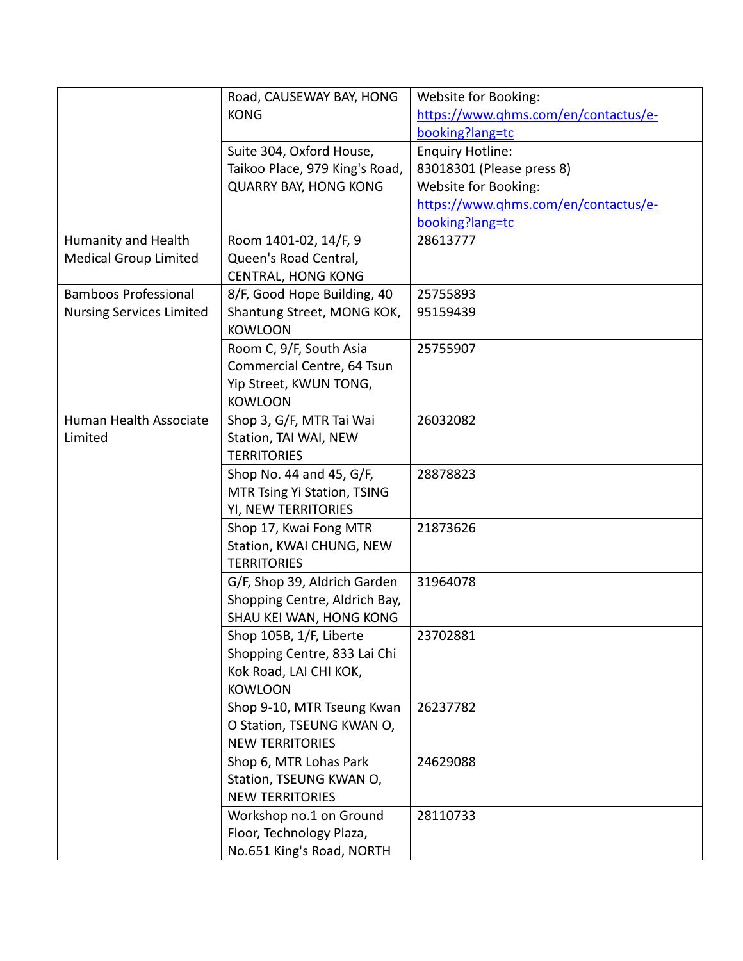|                                                     | Road, CAUSEWAY BAY, HONG       | Website for Booking:                 |
|-----------------------------------------------------|--------------------------------|--------------------------------------|
|                                                     | <b>KONG</b>                    | https://www.qhms.com/en/contactus/e- |
|                                                     |                                | booking?lang=tc                      |
|                                                     | Suite 304, Oxford House,       | <b>Enquiry Hotline:</b>              |
|                                                     | Taikoo Place, 979 King's Road, | 83018301 (Please press 8)            |
|                                                     | <b>QUARRY BAY, HONG KONG</b>   | Website for Booking:                 |
|                                                     |                                | https://www.qhms.com/en/contactus/e- |
|                                                     |                                | booking?lang=tc                      |
|                                                     | Room 1401-02, 14/F, 9          | 28613777                             |
| Humanity and Health<br><b>Medical Group Limited</b> | Queen's Road Central,          |                                      |
|                                                     |                                |                                      |
|                                                     | <b>CENTRAL, HONG KONG</b>      |                                      |
| <b>Bamboos Professional</b>                         | 8/F, Good Hope Building, 40    | 25755893                             |
| <b>Nursing Services Limited</b>                     | Shantung Street, MONG KOK,     | 95159439                             |
|                                                     | <b>KOWLOON</b>                 |                                      |
|                                                     | Room C, 9/F, South Asia        | 25755907                             |
|                                                     | Commercial Centre, 64 Tsun     |                                      |
|                                                     | Yip Street, KWUN TONG,         |                                      |
|                                                     | <b>KOWLOON</b>                 |                                      |
| Human Health Associate                              | Shop 3, G/F, MTR Tai Wai       | 26032082                             |
| Limited                                             | Station, TAI WAI, NEW          |                                      |
|                                                     | <b>TERRITORIES</b>             |                                      |
|                                                     | Shop No. 44 and 45, G/F,       | 28878823                             |
|                                                     | MTR Tsing Yi Station, TSING    |                                      |
|                                                     | YI, NEW TERRITORIES            |                                      |
|                                                     | Shop 17, Kwai Fong MTR         | 21873626                             |
|                                                     | Station, KWAI CHUNG, NEW       |                                      |
|                                                     | <b>TERRITORIES</b>             |                                      |
|                                                     | G/F, Shop 39, Aldrich Garden   | 31964078                             |
|                                                     | Shopping Centre, Aldrich Bay,  |                                      |
|                                                     |                                |                                      |
|                                                     | SHAU KEI WAN, HONG KONG        |                                      |
|                                                     | Shop 105B, 1/F, Liberte        | 23702881                             |
|                                                     | Shopping Centre, 833 Lai Chi   |                                      |
|                                                     | Kok Road, LAI CHI KOK,         |                                      |
|                                                     | <b>KOWLOON</b>                 |                                      |
|                                                     | Shop 9-10, MTR Tseung Kwan     | 26237782                             |
|                                                     | O Station, TSEUNG KWAN O,      |                                      |
|                                                     | <b>NEW TERRITORIES</b>         |                                      |
|                                                     | Shop 6, MTR Lohas Park         | 24629088                             |
|                                                     | Station, TSEUNG KWAN O,        |                                      |
|                                                     | <b>NEW TERRITORIES</b>         |                                      |
|                                                     | Workshop no.1 on Ground        | 28110733                             |
|                                                     | Floor, Technology Plaza,       |                                      |
|                                                     | No.651 King's Road, NORTH      |                                      |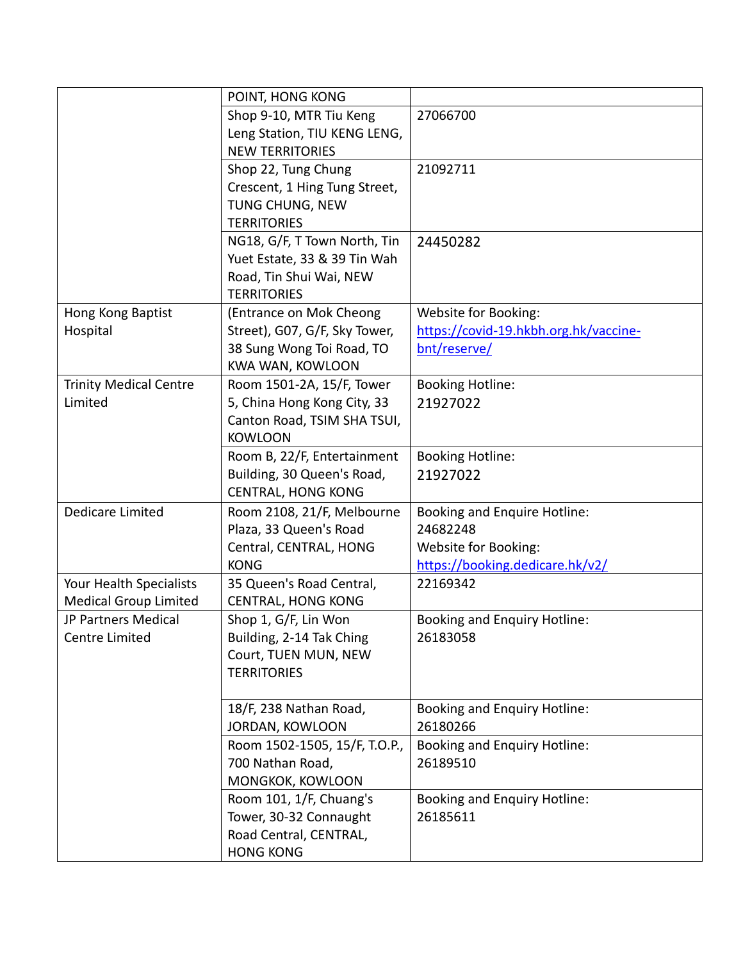|                               | POINT, HONG KONG                                  |                                                 |
|-------------------------------|---------------------------------------------------|-------------------------------------------------|
|                               | Shop 9-10, MTR Tiu Keng                           | 27066700                                        |
|                               | Leng Station, TIU KENG LENG,                      |                                                 |
|                               | <b>NEW TERRITORIES</b>                            |                                                 |
|                               | Shop 22, Tung Chung                               | 21092711                                        |
|                               | Crescent, 1 Hing Tung Street,                     |                                                 |
|                               | TUNG CHUNG, NEW                                   |                                                 |
|                               | <b>TERRITORIES</b>                                |                                                 |
|                               | NG18, G/F, T Town North, Tin                      | 24450282                                        |
|                               | Yuet Estate, 33 & 39 Tin Wah                      |                                                 |
|                               | Road, Tin Shui Wai, NEW                           |                                                 |
|                               | <b>TERRITORIES</b>                                |                                                 |
| Hong Kong Baptist             | (Entrance on Mok Cheong                           | Website for Booking:                            |
| Hospital                      | Street), G07, G/F, Sky Tower,                     | https://covid-19.hkbh.org.hk/vaccine-           |
|                               | 38 Sung Wong Toi Road, TO                         | bnt/reserve/                                    |
|                               | <b>KWA WAN, KOWLOON</b>                           |                                                 |
| <b>Trinity Medical Centre</b> | Room 1501-2A, 15/F, Tower                         | <b>Booking Hotline:</b>                         |
| Limited                       | 5, China Hong Kong City, 33                       | 21927022                                        |
|                               | Canton Road, TSIM SHA TSUI,                       |                                                 |
|                               | <b>KOWLOON</b>                                    |                                                 |
|                               | Room B, 22/F, Entertainment                       | <b>Booking Hotline:</b>                         |
|                               | Building, 30 Queen's Road,                        | 21927022                                        |
|                               | <b>CENTRAL, HONG KONG</b>                         |                                                 |
| Dedicare Limited              | Room 2108, 21/F, Melbourne                        | Booking and Enquire Hotline:                    |
|                               | Plaza, 33 Queen's Road                            | 24682248                                        |
|                               | Central, CENTRAL, HONG                            | Website for Booking:                            |
|                               | <b>KONG</b>                                       | https://booking.dedicare.hk/v2/                 |
| Your Health Specialists       | 35 Queen's Road Central,                          | 22169342                                        |
| <b>Medical Group Limited</b>  | <b>CENTRAL, HONG KONG</b>                         |                                                 |
| JP Partners Medical           | Shop 1, G/F, Lin Won                              | <b>Booking and Enquiry Hotline:</b>             |
| <b>Centre Limited</b>         | Building, 2-14 Tak Ching                          | 26183058                                        |
|                               | Court, TUEN MUN, NEW                              |                                                 |
|                               | <b>TERRITORIES</b>                                |                                                 |
|                               |                                                   |                                                 |
|                               | 18/F, 238 Nathan Road,                            | <b>Booking and Enquiry Hotline:</b>             |
|                               | JORDAN, KOWLOON                                   | 26180266                                        |
|                               | Room 1502-1505, 15/F, T.O.P.,<br>700 Nathan Road, | <b>Booking and Enquiry Hotline:</b><br>26189510 |
|                               | MONGKOK, KOWLOON                                  |                                                 |
|                               | Room 101, 1/F, Chuang's                           |                                                 |
|                               | Tower, 30-32 Connaught                            | <b>Booking and Enquiry Hotline:</b><br>26185611 |
|                               | Road Central, CENTRAL,                            |                                                 |
|                               |                                                   |                                                 |
|                               | <b>HONG KONG</b>                                  |                                                 |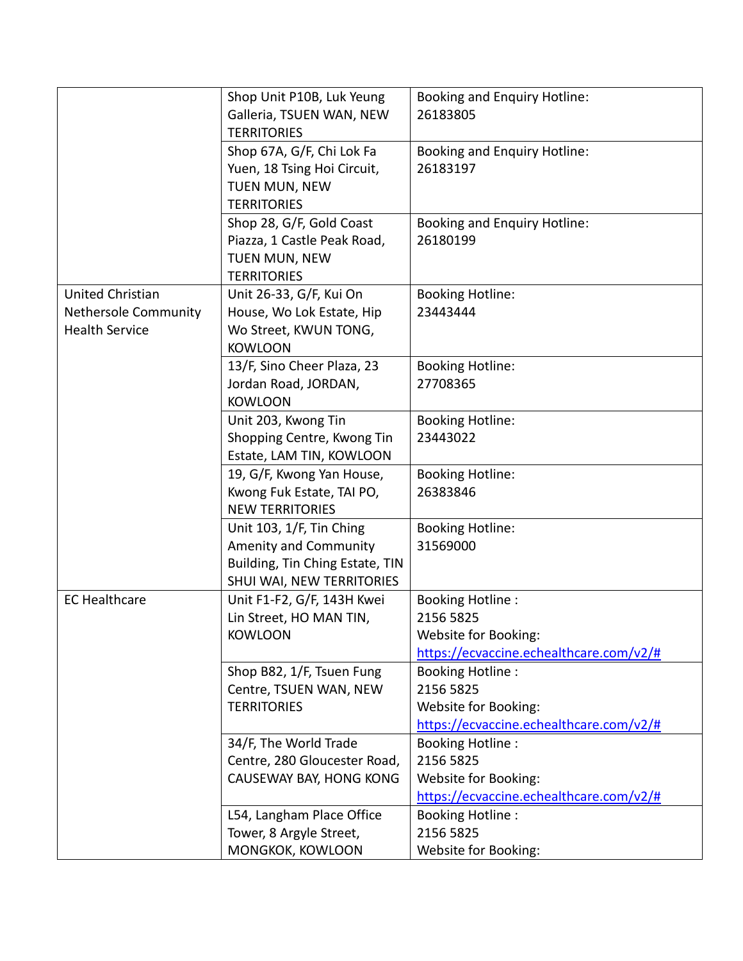|                       | Shop Unit P10B, Luk Yeung<br>Galleria, TSUEN WAN, NEW  | <b>Booking and Enquiry Hotline:</b><br>26183805 |
|-----------------------|--------------------------------------------------------|-------------------------------------------------|
|                       | <b>TERRITORIES</b>                                     |                                                 |
|                       | Shop 67A, G/F, Chi Lok Fa                              | <b>Booking and Enquiry Hotline:</b>             |
|                       | Yuen, 18 Tsing Hoi Circuit,                            | 26183197                                        |
|                       | TUEN MUN, NEW                                          |                                                 |
|                       | <b>TERRITORIES</b>                                     |                                                 |
|                       | Shop 28, G/F, Gold Coast                               | <b>Booking and Enquiry Hotline:</b>             |
|                       | Piazza, 1 Castle Peak Road,                            | 26180199                                        |
|                       | TUEN MUN, NEW                                          |                                                 |
|                       | <b>TERRITORIES</b>                                     |                                                 |
| United Christian      | Unit 26-33, G/F, Kui On                                | <b>Booking Hotline:</b>                         |
| Nethersole Community  | House, Wo Lok Estate, Hip                              | 23443444                                        |
| <b>Health Service</b> | Wo Street, KWUN TONG,                                  |                                                 |
|                       | <b>KOWLOON</b>                                         |                                                 |
|                       | 13/F, Sino Cheer Plaza, 23                             | <b>Booking Hotline:</b>                         |
|                       | Jordan Road, JORDAN,                                   | 27708365                                        |
|                       | <b>KOWLOON</b>                                         |                                                 |
|                       | Unit 203, Kwong Tin                                    | <b>Booking Hotline:</b><br>23443022             |
|                       | Shopping Centre, Kwong Tin<br>Estate, LAM TIN, KOWLOON |                                                 |
|                       | 19, G/F, Kwong Yan House,                              | <b>Booking Hotline:</b>                         |
|                       | Kwong Fuk Estate, TAI PO,                              | 26383846                                        |
|                       | <b>NEW TERRITORIES</b>                                 |                                                 |
|                       | Unit 103, 1/F, Tin Ching                               | <b>Booking Hotline:</b>                         |
|                       | Amenity and Community                                  | 31569000                                        |
|                       | Building, Tin Ching Estate, TIN                        |                                                 |
|                       | SHUI WAI, NEW TERRITORIES                              |                                                 |
| <b>EC Healthcare</b>  | Unit F1-F2, G/F, 143H Kwei                             | <b>Booking Hotline:</b>                         |
|                       | Lin Street, HO MAN TIN,                                | 2156 5825                                       |
|                       | <b>KOWLOON</b>                                         | Website for Booking:                            |
|                       |                                                        | https://ecvaccine.echealthcare.com/v2/#         |
|                       | Shop B82, 1/F, Tsuen Fung                              | <b>Booking Hotline:</b>                         |
|                       | Centre, TSUEN WAN, NEW                                 | 2156 5825                                       |
|                       | <b>TERRITORIES</b>                                     | Website for Booking:                            |
|                       |                                                        | https://ecvaccine.echealthcare.com/v2/#         |
|                       | 34/F, The World Trade                                  | <b>Booking Hotline:</b>                         |
|                       | Centre, 280 Gloucester Road,                           | 2156 5825                                       |
|                       | CAUSEWAY BAY, HONG KONG                                | Website for Booking:                            |
|                       |                                                        | https://ecvaccine.echealthcare.com/v2/#         |
|                       | L54, Langham Place Office                              | <b>Booking Hotline:</b>                         |
|                       | Tower, 8 Argyle Street,                                | 2156 5825                                       |
|                       | MONGKOK, KOWLOON                                       | Website for Booking:                            |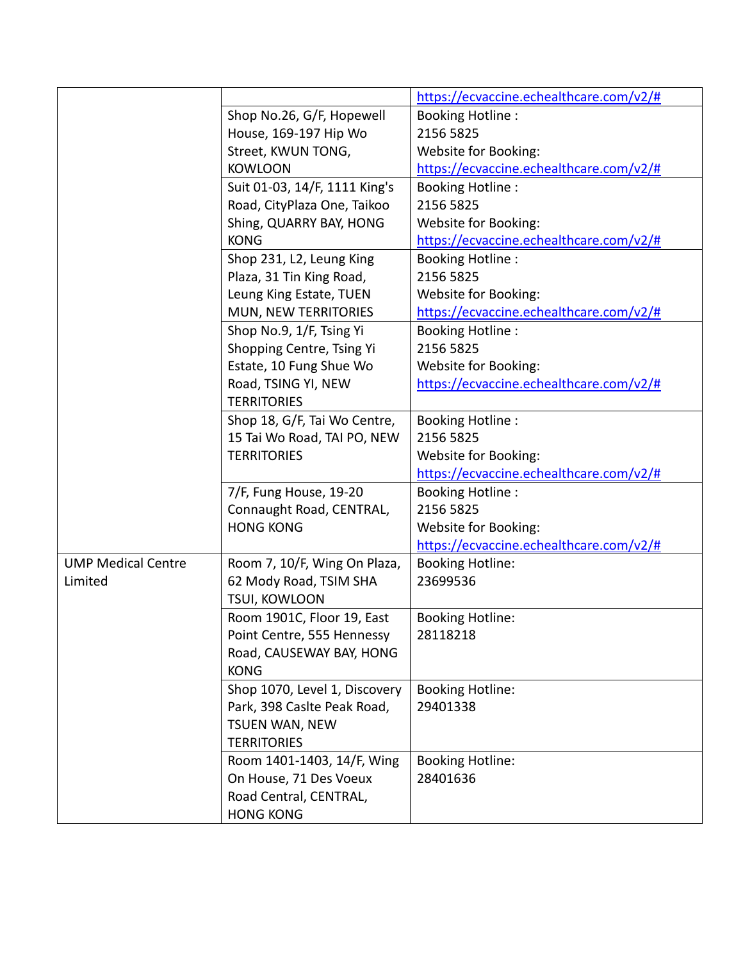|                           |                               | https://ecvaccine.echealthcare.com/v2/# |
|---------------------------|-------------------------------|-----------------------------------------|
|                           | Shop No.26, G/F, Hopewell     | <b>Booking Hotline:</b>                 |
|                           | House, 169-197 Hip Wo         | 2156 5825                               |
|                           | Street, KWUN TONG,            | Website for Booking:                    |
|                           | <b>KOWLOON</b>                | https://ecvaccine.echealthcare.com/v2/# |
|                           | Suit 01-03, 14/F, 1111 King's | <b>Booking Hotline:</b>                 |
|                           | Road, CityPlaza One, Taikoo   | 2156 5825                               |
|                           | Shing, QUARRY BAY, HONG       | Website for Booking:                    |
|                           | <b>KONG</b>                   | https://ecvaccine.echealthcare.com/v2/# |
|                           | Shop 231, L2, Leung King      | <b>Booking Hotline:</b>                 |
|                           | Plaza, 31 Tin King Road,      | 2156 5825                               |
|                           | Leung King Estate, TUEN       | Website for Booking:                    |
|                           | MUN, NEW TERRITORIES          | https://ecvaccine.echealthcare.com/v2/# |
|                           | Shop No.9, 1/F, Tsing Yi      | <b>Booking Hotline:</b>                 |
|                           | Shopping Centre, Tsing Yi     | 2156 5825                               |
|                           | Estate, 10 Fung Shue Wo       | Website for Booking:                    |
|                           | Road, TSING YI, NEW           | https://ecvaccine.echealthcare.com/v2/# |
|                           | <b>TERRITORIES</b>            |                                         |
|                           | Shop 18, G/F, Tai Wo Centre,  | <b>Booking Hotline:</b>                 |
|                           | 15 Tai Wo Road, TAI PO, NEW   | 2156 5825                               |
|                           | <b>TERRITORIES</b>            | Website for Booking:                    |
|                           |                               | https://ecvaccine.echealthcare.com/v2/# |
|                           | 7/F, Fung House, 19-20        | <b>Booking Hotline:</b>                 |
|                           | Connaught Road, CENTRAL,      | 2156 5825                               |
|                           | <b>HONG KONG</b>              | Website for Booking:                    |
|                           |                               | https://ecvaccine.echealthcare.com/v2/# |
| <b>UMP Medical Centre</b> | Room 7, 10/F, Wing On Plaza,  | <b>Booking Hotline:</b>                 |
| Limited                   | 62 Mody Road, TSIM SHA        | 23699536                                |
|                           | TSUI, KOWLOON                 |                                         |
|                           | Room 1901C, Floor 19, East    | <b>Booking Hotline:</b>                 |
|                           | Point Centre, 555 Hennessy    | 28118218                                |
|                           | Road, CAUSEWAY BAY, HONG      |                                         |
|                           | <b>KONG</b>                   |                                         |
|                           | Shop 1070, Level 1, Discovery | <b>Booking Hotline:</b>                 |
|                           | Park, 398 Caslte Peak Road,   | 29401338                                |
|                           | <b>TSUEN WAN, NEW</b>         |                                         |
|                           | <b>TERRITORIES</b>            |                                         |
|                           | Room 1401-1403, 14/F, Wing    | <b>Booking Hotline:</b>                 |
|                           | On House, 71 Des Voeux        | 28401636                                |
|                           | Road Central, CENTRAL,        |                                         |
|                           | <b>HONG KONG</b>              |                                         |